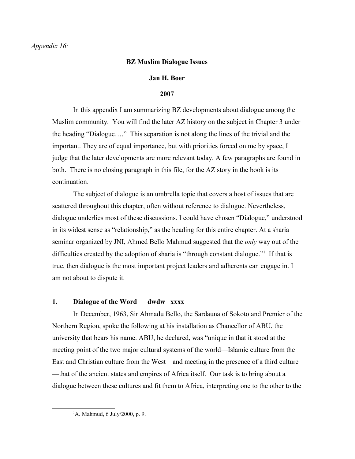# *Appendix 16:*

# **BZ Muslim Dialogue Issues**

### **Jan H. Boer**

### **2007**

In this appendix I am summarizing BZ developments about dialogue among the Muslim community. You will find the later AZ history on the subject in Chapter 3 under the heading "Dialogue…." This separation is not along the lines of the trivial and the important. They are of equal importance, but with priorities forced on me by space, I judge that the later developments are more relevant today. A few paragraphs are found in both. There is no closing paragraph in this file, for the AZ story in the book is its continuation.

The subject of dialogue is an umbrella topic that covers a host of issues that are scattered throughout this chapter, often without reference to dialogue. Nevertheless, dialogue underlies most of these discussions. I could have chosen "Dialogue," understood in its widest sense as "relationship," as the heading for this entire chapter. At a sharia seminar organized by JNI, Ahmed Bello Mahmud suggested that the *only* way out of the difficulties created by the adoption of sharia is "through constant dialogue."<sup>[1](#page-0-0)</sup> If that is true, then dialogue is the most important project leaders and adherents can engage in. I am not about to dispute it.

# **1. Dialogue of the Word dwdw xxxx**

In December, 1963, Sir Ahmadu Bello, the Sardauna of Sokoto and Premier of the Northern Region, spoke the following at his installation as Chancellor of ABU, the university that bears his name. ABU, he declared, was "unique in that it stood at the meeting point of the two major cultural systems of the world—Islamic culture from the East and Christian culture from the West—and meeting in the presence of a third culture —that of the ancient states and empires of Africa itself. Our task is to bring about a dialogue between these cultures and fit them to Africa, interpreting one to the other to the

<span id="page-0-0"></span> ${}^{1}$ A. Mahmud, 6 July/2000, p. 9.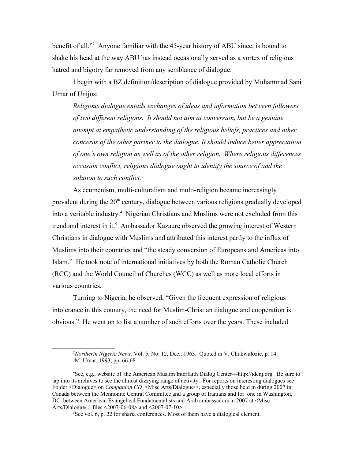benefit of all."[2](#page-1-0) Anyone familiar with the 45-year history of ABU since, is bound to shake his head at the way ABU has instead occasionally served as a vortex of religious hatred and bigotry far removed from any semblance of dialogue.

I begin with a BZ definition/description of dialogue provided by Muhammad Sani Umar of Unijos:

*Religious dialogue entails exchanges of ideas and information between followers of two different religions. It should not aim at conversion, but be a genuine attempt at empathetic understanding of the religious beliefs, practices and other concerns of the other partner to the dialogue. It should induce better appreciation of one's own religion as well as of the other religion. Where religious differences occasion conflict, religious dialogue ought to identify the source of and the solution to such conflict.[3](#page-1-1)*

As ecumenism, multi-culturalism and multi-religion became increasingly prevalent during the  $20<sup>th</sup>$  century, dialogue between various religions gradually developed into a veritable industry.<sup>[4](#page-1-2)</sup> Nigerian Christians and Muslims were not excluded from this trend and interest in it.<sup>[5](#page-1-3)</sup> Ambassador Kazaure observed the growing interest of Western Christians in dialogue with Muslims and attributed this interest partly to the influx of Muslims into their countries and "the steady conversion of Europeans and Americas into Islam." He took note of international initiatives by both the Roman Catholic Church (RCC) and the World Council of Churches (WCC) as well as more local efforts in various countries.

Turning to Nigeria, he observed, "Given the frequent expression of religious intolerance in this country, the need for Muslim-Christian dialogue and cooperation is obvious." He went on to list a number of such efforts over the years. These included

<span id="page-1-2"></span><span id="page-1-1"></span><span id="page-1-0"></span><sup>2</sup>*Northertn Nigeria News,* Vol. 5, No. 12, Dec., 1963. Quoted in V. Chukwulozie, p. 14. <sup>3</sup>M. Umar, 1993, pp. 66-68.

<sup>4</sup>See, e.g., website of the American Muslim Interfaith Dialog Center—http://idcnj.org. Be sure to tap into its archives to see the almost dizzying range of activity. For reports on interesting dialogues see Folder <Dialogue> on *Companion CD* <Misc Arts/Dialogue/>, especially those held in during 2007 in Canada between the Mennonite Central Committee and a group of Iranians and for one in Washington, DC, between American Evangelical Fundamentalists and Arab ambassadors in 2007 at <Misc Arts/Dialogue/ , files <2007-06-08> and <2007-07-10>.

<span id="page-1-3"></span> $5$ See vol. 6, p. 22 for sharia conferences. Most of them have a dialogical element.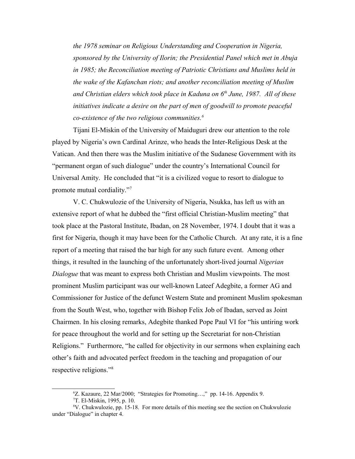*the 1978 seminar on Religious Understanding and Cooperation in Nigeria, sponsored by the University of Ilorin; the Presidential Panel which met in Abuja in 1985; the Reconciliation meeting of Patriotic Christians and Muslims held in the wake of the Kafanchan riots; and another reconciliation meeting of Muslim and Christian elders which took place in Kaduna on 6th June, 1987. All of these initiatives indicate a desire on the part of men of goodwill to promote peaceful co-existence of the two religious communities.[6](#page-2-0)*

Tijani El-Miskin of the University of Maiduguri drew our attention to the role played by Nigeria's own Cardinal Arinze, who heads the Inter-Religious Desk at the Vatican. And then there was the Muslim initiative of the Sudanese Government with its "permanent organ of such dialogue" under the country's International Council for Universal Amity. He concluded that "it is a civilized vogue to resort to dialogue to promote mutual cordiality."[7](#page-2-1)

V. C. Chukwulozie of the University of Nigeria, Nsukka, has left us with an extensive report of what he dubbed the "first official Christian-Muslim meeting" that took place at the Pastoral Institute, Ibadan, on 28 November, 1974. I doubt that it was a first for Nigeria, though it may have been for the Catholic Church. At any rate, it is a fine report of a meeting that raised the bar high for any such future event. Among other things, it resulted in the launching of the unfortunately short-lived journal *Nigerian Dialogue* that was meant to express both Christian and Muslim viewpoints. The most prominent Muslim participant was our well-known Lateef Adegbite, a former AG and Commissioner for Justice of the defunct Western State and prominent Muslim spokesman from the South West, who, together with Bishop Felix Job of Ibadan, served as Joint Chairmen. In his closing remarks, Adegbite thanked Pope Paul VI for "his untiring work for peace throughout the world and for setting up the Secretariat for non-Christian Religions." Furthermore, "he called for objectivity in our sermons when explaining each other's faith and advocated perfect freedom in the teaching and propagation of our respective religions."[8](#page-2-2)

<span id="page-2-0"></span><sup>6</sup>Z. Kazaure, 22 Mar/2000; "Strategies for Promoting…," pp. 14-16. Appendix 9.

<span id="page-2-2"></span><span id="page-2-1"></span> $T$ . El-Miskin, 1995, p. 10.

<sup>8</sup>V. Chukwulozie, pp. 15-18. For more details of this meeting see the section on Chukwulozie under "Dialogue" in chapter 4.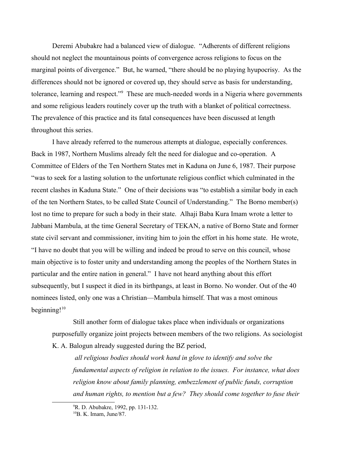Deremi Abubakre had a balanced view of dialogue. "Adherents of different religions should not neglect the mountainous points of convergence across religions to focus on the marginal points of divergence." But, he warned, "there should be no playing hyupocrisy. As the differences should not be ignored or covered up, they should serve as basis for understanding, tolerance, learning and respect."<sup>[9](#page-3-0)</sup> These are much-needed words in a Nigeria where governments and some religious leaders routinely cover up the truth with a blanket of political correctness. The prevalence of this practice and its fatal consequences have been discussed at length throughout this series.

I have already referred to the numerous attempts at dialogue, especially conferences. Back in 1987, Northern Muslims already felt the need for dialogue and co-operation. A Committee of Elders of the Ten Northern States met in Kaduna on June 6, 1987. Their purpose "was to seek for a lasting solution to the unfortunate religious conflict which culminated in the recent clashes in Kaduna State." One of their decisions was "to establish a similar body in each of the ten Northern States, to be called State Council of Understanding." The Borno member(s) lost no time to prepare for such a body in their state. Alhaji Baba Kura Imam wrote a letter to Jabbani Mambula, at the time General Secretary of TEKAN, a native of Borno State and former state civil servant and commissioner, inviting him to join the effort in his home state. He wrote, "I have no doubt that you will be willing and indeed be proud to serve on this council, whose main objective is to foster unity and understanding among the peoples of the Northern States in particular and the entire nation in general." I have not heard anything about this effort subsequently, but I suspect it died in its birthpangs, at least in Borno. No wonder. Out of the 40 nominees listed, only one was a Christian—Mambula himself. That was a most ominous beginning! $10$ 

Still another form of dialogue takes place when individuals or organizations purposefully organize joint projects between members of the two religions. As sociologist K. A. Balogun already suggested during the BZ period,

 *all religious bodies should work hand in glove to identify and solve the fundamental aspects of religion in relation to the issues. For instance, what does religion know about family planning, embezzlement of public funds, corruption and human rights, to mention but a few? They should come together to fuse their* 

<span id="page-3-0"></span><sup>9</sup>R. D. Abubakre, 1992, pp. 131-132.

<span id="page-3-1"></span><sup>10</sup>B. K. Imam, June/87.